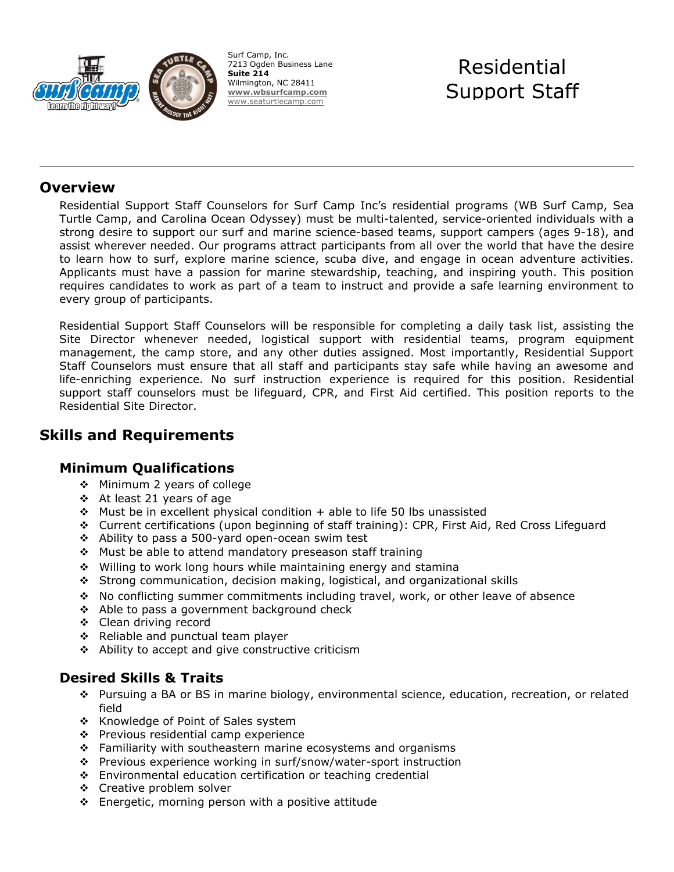

Surf Camp, Inc. 7213 Ogden Business Lane **Suite 214** Wilmington, NC 28411 **[www.wbsurfcamp.com](http://www.wbsurfcamp.com/)** [www.seaturtlecamp.com](http://www.seaturtlecamp.com/)

# Residential Support Staff

#### **Overview**

Residential Support Staff Counselors for Surf Camp Inc's residential programs (WB Surf Camp, Sea Turtle Camp, and Carolina Ocean Odyssey) must be multi-talented, service-oriented individuals with a strong desire to support our surf and marine science-based teams, support campers (ages 9-18), and assist wherever needed. Our programs attract participants from all over the world that have the desire to learn how to surf, explore marine science, scuba dive, and engage in ocean adventure activities. Applicants must have a passion for marine stewardship, teaching, and inspiring youth. This position requires candidates to work as part of a team to instruct and provide a safe learning environment to every group of participants.

Residential Support Staff Counselors will be responsible for completing a daily task list, assisting the Site Director whenever needed, logistical support with residential teams, program equipment management, the camp store, and any other duties assigned. Most importantly, Residential Support Staff Counselors must ensure that all staff and participants stay safe while having an awesome and life-enriching experience. No surf instruction experience is required for this position. Residential support staff counselors must be lifeguard, CPR, and First Aid certified. This position reports to the Residential Site Director.

## **Skills and Requirements**

#### **Minimum Qualifications**

- ❖ Minimum 2 years of college
- At least 21 years of age
- $\div$  Must be in excellent physical condition + able to life 50 lbs unassisted
- Current certifications (upon beginning of staff training): CPR, First Aid, Red Cross Lifeguard
- Ability to pass a 500-yard open-ocean swim test
- $\div$  Must be able to attend mandatory preseason staff training
- Willing to work long hours while maintaining energy and stamina
- Strong communication, decision making, logistical, and organizational skills
- No conflicting summer commitments including travel, work, or other leave of absence
- ❖ Able to pass a government background check
- Clean driving record
- ❖ Reliable and punctual team player
- $\div$  Ability to accept and give constructive criticism

#### **Desired Skills & Traits**

- Pursuing a BA or BS in marine biology, environmental science, education, recreation, or related field
- ❖ Knowledge of Point of Sales system
- $\div$  Previous residential camp experience
- $\div$  Familiarity with southeastern marine ecosystems and organisms
- Previous experience working in surf/snow/water-sport instruction
- Environmental education certification or teaching credential
- ❖ Creative problem solver
- $\div$  Energetic, morning person with a positive attitude